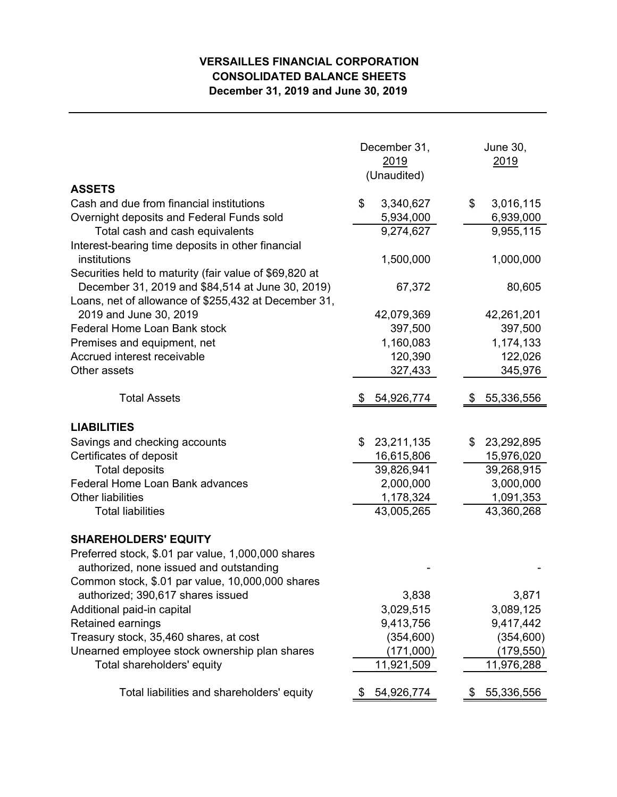## **VERSAILLES FINANCIAL CORPORATION CONSOLIDATED BALANCE SHEETS December 31, 2019 and June 30, 2019**

|                                                                                       | December 31,<br>2019<br>(Unaudited) | <b>June 30,</b><br>2019      |  |  |
|---------------------------------------------------------------------------------------|-------------------------------------|------------------------------|--|--|
| <b>ASSETS</b>                                                                         |                                     |                              |  |  |
| Cash and due from financial institutions<br>Overnight deposits and Federal Funds sold | \$<br>3,340,627<br>5,934,000        | 3,016,115<br>\$<br>6,939,000 |  |  |
| Total cash and cash equivalents                                                       | 9,274,627                           | 9,955,115                    |  |  |
| Interest-bearing time deposits in other financial                                     |                                     |                              |  |  |
| institutions                                                                          | 1,500,000                           | 1,000,000                    |  |  |
| Securities held to maturity (fair value of \$69,820 at                                |                                     |                              |  |  |
| December 31, 2019 and \$84,514 at June 30, 2019)                                      | 67,372                              | 80,605                       |  |  |
| Loans, net of allowance of \$255,432 at December 31,                                  |                                     |                              |  |  |
| 2019 and June 30, 2019                                                                | 42,079,369                          | 42,261,201                   |  |  |
| Federal Home Loan Bank stock                                                          | 397,500                             | 397,500                      |  |  |
| Premises and equipment, net                                                           | 1,160,083                           | 1,174,133                    |  |  |
| Accrued interest receivable                                                           | 120,390                             | 122,026                      |  |  |
| Other assets                                                                          | 327,433                             | 345,976                      |  |  |
| <b>Total Assets</b>                                                                   | 54,926,774                          | 55,336,556                   |  |  |
|                                                                                       |                                     |                              |  |  |
| <b>LIABILITIES</b>                                                                    |                                     |                              |  |  |
| Savings and checking accounts                                                         | 23,211,135<br>\$                    | \$<br>23,292,895             |  |  |
| Certificates of deposit                                                               | 16,615,806                          | 15,976,020                   |  |  |
| <b>Total deposits</b>                                                                 | 39,826,941                          | 39,268,915                   |  |  |
| Federal Home Loan Bank advances                                                       | 2,000,000                           | 3,000,000                    |  |  |
| <b>Other liabilities</b>                                                              | 1,178,324                           | 1,091,353                    |  |  |
| <b>Total liabilities</b>                                                              | 43,005,265                          | 43,360,268                   |  |  |
| <b>SHAREHOLDERS' EQUITY</b>                                                           |                                     |                              |  |  |
| Preferred stock, \$.01 par value, 1,000,000 shares                                    |                                     |                              |  |  |
| authorized, none issued and outstanding                                               |                                     |                              |  |  |
| Common stock, \$.01 par value, 10,000,000 shares                                      |                                     |                              |  |  |
| authorized; 390,617 shares issued                                                     | 3,838                               | 3,871                        |  |  |
| Additional paid-in capital                                                            | 3,029,515                           | 3,089,125                    |  |  |
| Retained earnings                                                                     | 9,413,756                           | 9,417,442                    |  |  |
| Treasury stock, 35,460 shares, at cost                                                | (354, 600)                          | (354, 600)                   |  |  |
| Unearned employee stock ownership plan shares<br>Total shareholders' equity           | (171,000)                           | (179,550)                    |  |  |
|                                                                                       | 11,921,509                          | 11,976,288                   |  |  |
| Total liabilities and shareholders' equity                                            | 54,926,774                          | 55,336,556                   |  |  |